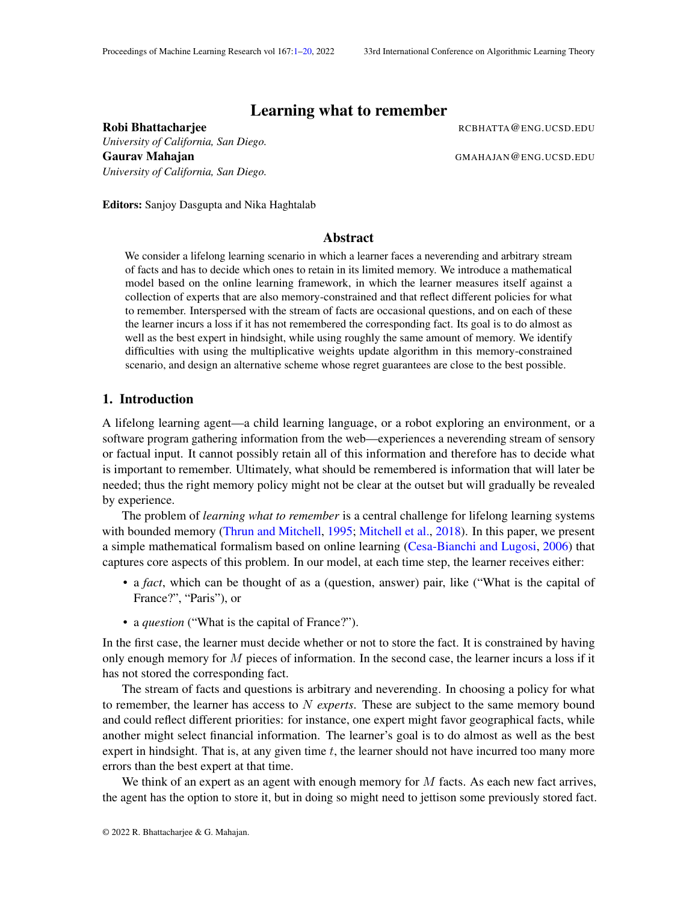# Learning what to remember

*University of California, San Diego.* Gaurav Mahajan Gaurav Mahajan Gaurav Gaurav Gaurav Gaurav Gaurav Gaurav Gaurav Gaurav Gaurav Gaurav Gaurav Gaurav *University of California, San Diego.*

<span id="page-0-0"></span>Robi Bhattacharjee **Robi Bhattacharjee** RCBHATTA@ENG.UCSD.EDU

Editors: Sanjoy Dasgupta and Nika Haghtalab

## Abstract

We consider a lifelong learning scenario in which a learner faces a neverending and arbitrary stream of facts and has to decide which ones to retain in its limited memory. We introduce a mathematical model based on the online learning framework, in which the learner measures itself against a collection of experts that are also memory-constrained and that reflect different policies for what to remember. Interspersed with the stream of facts are occasional questions, and on each of these the learner incurs a loss if it has not remembered the corresponding fact. Its goal is to do almost as well as the best expert in hindsight, while using roughly the same amount of memory. We identify difficulties with using the multiplicative weights update algorithm in this memory-constrained scenario, and design an alternative scheme whose regret guarantees are close to the best possible.

### 1. Introduction

A lifelong learning agent—a child learning language, or a robot exploring an environment, or a software program gathering information from the web—experiences a neverending stream of sensory or factual input. It cannot possibly retain all of this information and therefore has to decide what is important to remember. Ultimately, what should be remembered is information that will later be needed; thus the right memory policy might not be clear at the outset but will gradually be revealed by experience.

The problem of *learning what to remember* is a central challenge for lifelong learning systems with bounded memory [\(Thrun and Mitchell,](#page-19-1) [1995;](#page-19-1) [Mitchell et al.,](#page-18-0) [2018\)](#page-18-0). In this paper, we present a simple mathematical formalism based on online learning [\(Cesa-Bianchi and Lugosi,](#page-18-1) [2006\)](#page-18-1) that captures core aspects of this problem. In our model, at each time step, the learner receives either:

- a *fact*, which can be thought of as a (question, answer) pair, like ("What is the capital of France?", "Paris"), or
- a *question* ("What is the capital of France?").

In the first case, the learner must decide whether or not to store the fact. It is constrained by having only enough memory for  $M$  pieces of information. In the second case, the learner incurs a loss if it has not stored the corresponding fact.

The stream of facts and questions is arbitrary and neverending. In choosing a policy for what to remember, the learner has access to N *experts*. These are subject to the same memory bound and could reflect different priorities: for instance, one expert might favor geographical facts, while another might select financial information. The learner's goal is to do almost as well as the best expert in hindsight. That is, at any given time  $t$ , the learner should not have incurred too many more errors than the best expert at that time.

We think of an expert as an agent with enough memory for  $M$  facts. As each new fact arrives, the agent has the option to store it, but in doing so might need to jettison some previously stored fact.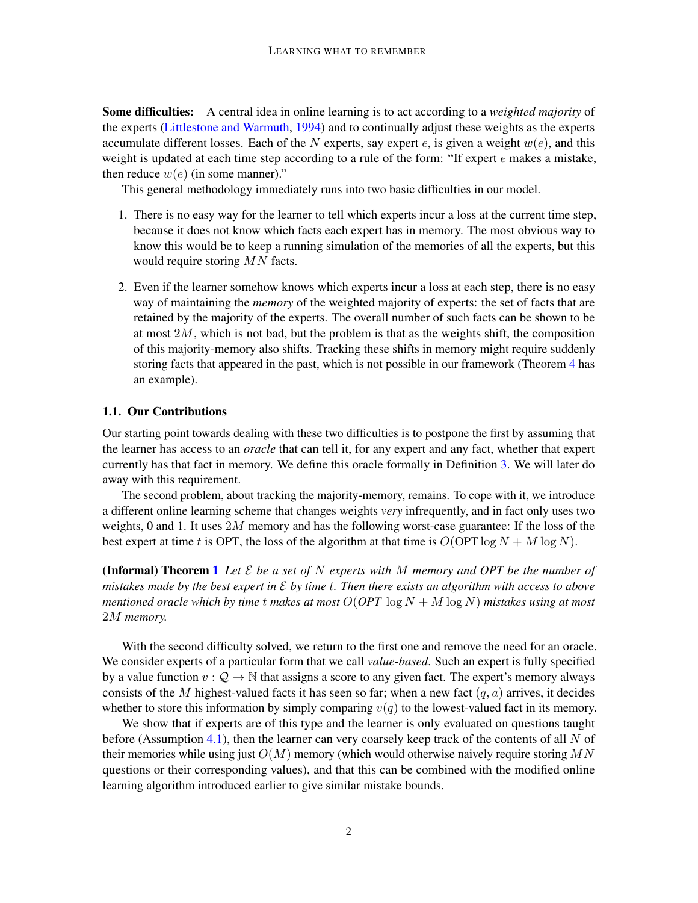Some difficulties: A central idea in online learning is to act according to a *weighted majority* of the experts [\(Littlestone and Warmuth,](#page-18-2) [1994\)](#page-18-2) and to continually adjust these weights as the experts accumulate different losses. Each of the N experts, say expert e, is given a weight  $w(e)$ , and this weight is updated at each time step according to a rule of the form: "If expert e makes a mistake, then reduce  $w(e)$  (in some manner)."

This general methodology immediately runs into two basic difficulties in our model.

- 1. There is no easy way for the learner to tell which experts incur a loss at the current time step, because it does not know which facts each expert has in memory. The most obvious way to know this would be to keep a running simulation of the memories of all the experts, but this would require storing MN facts.
- 2. Even if the learner somehow knows which experts incur a loss at each step, there is no easy way of maintaining the *memory* of the weighted majority of experts: the set of facts that are retained by the majority of the experts. The overall number of such facts can be shown to be at most  $2M$ , which is not bad, but the problem is that as the weights shift, the composition of this majority-memory also shifts. Tracking these shifts in memory might require suddenly storing facts that appeared in the past, which is not possible in our framework (Theorem [4](#page-4-0) has an example).

#### 1.1. Our Contributions

Our starting point towards dealing with these two difficulties is to postpone the first by assuming that the learner has access to an *oracle* that can tell it, for any expert and any fact, whether that expert currently has that fact in memory. We define this oracle formally in Definition [3.](#page-4-1) We will later do away with this requirement.

The second problem, about tracking the majority-memory, remains. To cope with it, we introduce a different online learning scheme that changes weights *very* infrequently, and in fact only uses two weights, 0 and 1. It uses  $2M$  memory and has the following worst-case guarantee: If the loss of the best expert at time t is OPT, the loss of the algorithm at that time is  $O(OPT \log N + M \log N)$ .

**(Informal) Theorem [1](#page-5-0)** Let  $\mathcal E$  be a set of N experts with M memory and OPT be the number of *mistakes made by the best expert in* E *by time* t*. Then there exists an algorithm with access to above mentioned oracle which by time t makes at most*  $O(OPT \log N + M \log N)$  *mistakes using at most* 2M *memory.*

With the second difficulty solved, we return to the first one and remove the need for an oracle. We consider experts of a particular form that we call *value-based*. Such an expert is fully specified by a value function  $v: \mathcal{Q} \to \mathbb{N}$  that assigns a score to any given fact. The expert's memory always consists of the M highest-valued facts it has seen so far; when a new fact  $(q, a)$  arrives, it decides whether to store this information by simply comparing  $v(q)$  to the lowest-valued fact in its memory.

We show that if experts are of this type and the learner is only evaluated on questions taught before (Assumption [4.1\)](#page-7-0), then the learner can very coarsely keep track of the contents of all  $N$  of their memories while using just  $O(M)$  memory (which would otherwise naively require storing MN questions or their corresponding values), and that this can be combined with the modified online learning algorithm introduced earlier to give similar mistake bounds.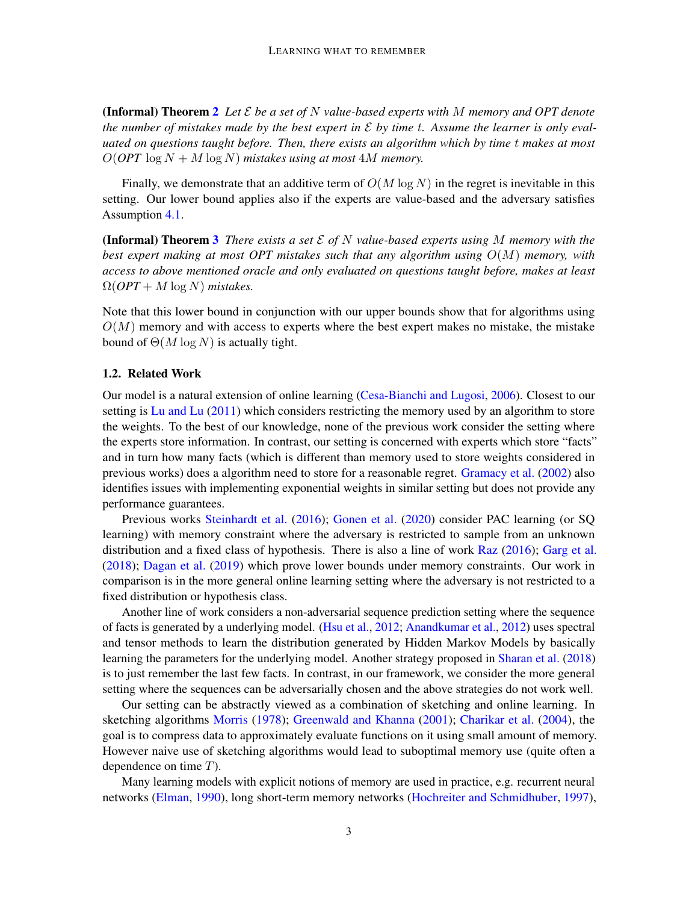**(Informal) Theorem [2](#page-7-1)** Let  $\mathcal E$  be a set of  $N$  value-based experts with  $M$  memory and OPT denote *the number of mistakes made by the best expert in*  $\mathcal E$  *by time t. Assume the learner is only evaluated on questions taught before. Then, there exists an algorithm which by time* t *makes at most*  $O(OPT \log N + M \log N)$  *mistakes using at most* 4M *memory.* 

Finally, we demonstrate that an additive term of  $O(M \log N)$  in the regret is inevitable in this setting. Our lower bound applies also if the experts are value-based and the adversary satisfies Assumption [4.1.](#page-7-0)

**(Informal) Theorem [3](#page-9-0)** *There exists a set*  $\mathcal{E}$  *of*  $N$  *value-based experts using*  $M$  *memory with the best expert making at most OPT mistakes such that any algorithm using* O(M) *memory, with access to above mentioned oracle and only evaluated on questions taught before, makes at least*  $\Omega(OPT + M \log N)$  *mistakes.* 

Note that this lower bound in conjunction with our upper bounds show that for algorithms using  $O(M)$  memory and with access to experts where the best expert makes no mistake, the mistake bound of  $\Theta(M \log N)$  is actually tight.

## 1.2. Related Work

Our model is a natural extension of online learning [\(Cesa-Bianchi and Lugosi,](#page-18-1) [2006\)](#page-18-1). Closest to our setting is [Lu and Lu](#page-18-3) [\(2011\)](#page-18-3) which considers restricting the memory used by an algorithm to store the weights. To the best of our knowledge, none of the previous work consider the setting where the experts store information. In contrast, our setting is concerned with experts which store "facts" and in turn how many facts (which is different than memory used to store weights considered in previous works) does a algorithm need to store for a reasonable regret. [Gramacy et al.](#page-18-4) [\(2002\)](#page-18-4) also identifies issues with implementing exponential weights in similar setting but does not provide any performance guarantees.

Previous works [Steinhardt et al.](#page-19-2) [\(2016\)](#page-19-2); [Gonen et al.](#page-18-5) [\(2020\)](#page-18-5) consider PAC learning (or SQ learning) with memory constraint where the adversary is restricted to sample from an unknown distribution and a fixed class of hypothesis. There is also a line of work [Raz](#page-19-3) [\(2016\)](#page-19-3); [Garg et al.](#page-18-6) [\(2018\)](#page-18-6); [Dagan et al.](#page-18-7) [\(2019\)](#page-18-7) which prove lower bounds under memory constraints. Our work in comparison is in the more general online learning setting where the adversary is not restricted to a fixed distribution or hypothesis class.

Another line of work considers a non-adversarial sequence prediction setting where the sequence of facts is generated by a underlying model. [\(Hsu et al.,](#page-18-8) [2012;](#page-18-8) [Anandkumar et al.,](#page-18-9) [2012\)](#page-18-9) uses spectral and tensor methods to learn the distribution generated by Hidden Markov Models by basically learning the parameters for the underlying model. Another strategy proposed in [Sharan et al.](#page-19-4) [\(2018\)](#page-19-4) is to just remember the last few facts. In contrast, in our framework, we consider the more general setting where the sequences can be adversarially chosen and the above strategies do not work well.

Our setting can be abstractly viewed as a combination of sketching and online learning. In sketching algorithms [Morris](#page-19-5) [\(1978\)](#page-19-5); [Greenwald and Khanna](#page-18-10) [\(2001\)](#page-18-10); [Charikar et al.](#page-18-11) [\(2004\)](#page-18-11), the goal is to compress data to approximately evaluate functions on it using small amount of memory. However naive use of sketching algorithms would lead to suboptimal memory use (quite often a dependence on time  $T$ ).

Many learning models with explicit notions of memory are used in practice, e.g. recurrent neural networks [\(Elman,](#page-18-12) [1990\)](#page-18-12), long short-term memory networks [\(Hochreiter and Schmidhuber,](#page-18-13) [1997\)](#page-18-13),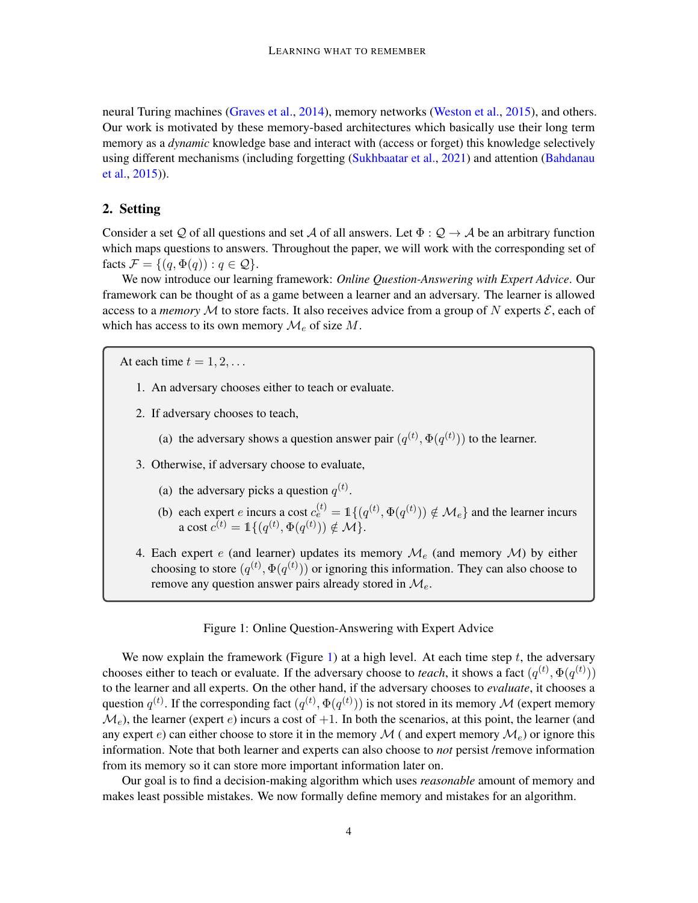neural Turing machines [\(Graves et al.,](#page-18-14) [2014\)](#page-18-14), memory networks [\(Weston et al.,](#page-19-6) [2015\)](#page-19-6), and others. Our work is motivated by these memory-based architectures which basically use their long term memory as a *dynamic* knowledge base and interact with (access or forget) this knowledge selectively using different mechanisms (including forgetting [\(Sukhbaatar et al.,](#page-19-7) [2021\)](#page-19-7) and attention [\(Bahdanau](#page-18-15) [et al.,](#page-18-15) [2015\)](#page-18-15)).

## 2. Setting

Consider a set Q of all questions and set A of all answers. Let  $\Phi : \mathcal{Q} \to \mathcal{A}$  be an arbitrary function which maps questions to answers. Throughout the paper, we will work with the corresponding set of facts  $\mathcal{F} = \{(q, \Phi(q)) : q \in \mathcal{Q}\}.$ 

We now introduce our learning framework: *Online Question-Answering with Expert Advice*. Our framework can be thought of as a game between a learner and an adversary. The learner is allowed access to a *memory* M to store facts. It also receives advice from a group of N experts  $\mathcal{E}$ , each of which has access to its own memory  $\mathcal{M}_e$  of size M.

At each time  $t = 1, 2, \ldots$ 

- 1. An adversary chooses either to teach or evaluate.
- 2. If adversary chooses to teach,
	- (a) the adversary shows a question answer pair  $(q^{(t)}, \Phi(q^{(t)}))$  to the learner.
- 3. Otherwise, if adversary choose to evaluate,
	- (a) the adversary picks a question  $q^{(t)}$ .
	- (b) each expert *e* incurs a cost  $c_e^{(t)} = \mathbb{1}\{(q^{(t)}, \Phi(q^{(t)})) \notin \mathcal{M}_e\}$  and the learner incurs a cost  $c^{(t)} = \mathbb{1}\{(q^{(t)}, \Phi(q^{(t)})) \notin \mathcal{M}\}.$
- 4. Each expert e (and learner) updates its memory  $\mathcal{M}_e$  (and memory  $\mathcal{M}$ ) by either choosing to store  $(q^{(t)}, \Phi(q^{(t)}))$  or ignoring this information. They can also choose to remove any question answer pairs already stored in  $\mathcal{M}_{e}$ .

#### <span id="page-3-0"></span>Figure 1: Online Question-Answering with Expert Advice

We now explain the framework (Figure [1\)](#page-3-0) at a high level. At each time step  $t$ , the adversary chooses either to teach or evaluate. If the adversary choose to *teach*, it shows a fact  $(q^{(t)}, \Phi(q^{(t)}))$ to the learner and all experts. On the other hand, if the adversary chooses to *evaluate*, it chooses a question  $q^{(t)}$ . If the corresponding fact  $(q^{(t)}, \Phi(q^{(t)}))$  is not stored in its memory  $\mathcal M$  (expert memory  $\mathcal{M}_e$ ), the learner (expert e) incurs a cost of  $+1$ . In both the scenarios, at this point, the learner (and any expert e) can either choose to store it in the memory  $\mathcal{M}$  (and expert memory  $\mathcal{M}_e$ ) or ignore this information. Note that both learner and experts can also choose to *not* persist /remove information from its memory so it can store more important information later on.

Our goal is to find a decision-making algorithm which uses *reasonable* amount of memory and makes least possible mistakes. We now formally define memory and mistakes for an algorithm.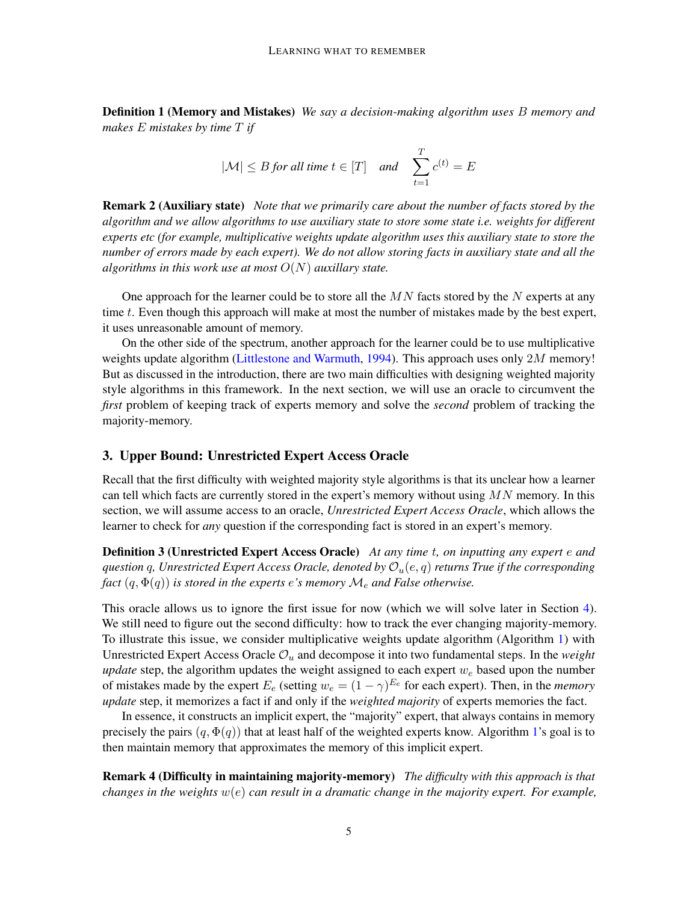Definition 1 (Memory and Mistakes) *We say a decision-making algorithm uses* B *memory and makes* E *mistakes by time* T *if*

$$
|\mathcal{M}| \leq B \text{ for all time } t \in [T] \quad \text{and} \quad \sum_{t=1}^{T} c^{(t)} = E
$$

Remark 2 (Auxiliary state) *Note that we primarily care about the number of facts stored by the algorithm and we allow algorithms to use auxiliary state to store some state i.e. weights for different experts etc (for example, multiplicative weights update algorithm uses this auxiliary state to store the number of errors made by each expert). We do not allow storing facts in auxiliary state and all the algorithms in this work use at most* O(N) *auxillary state.*

One approach for the learner could be to store all the  $MN$  facts stored by the N experts at any time t. Even though this approach will make at most the number of mistakes made by the best expert, it uses unreasonable amount of memory.

On the other side of the spectrum, another approach for the learner could be to use multiplicative weights update algorithm [\(Littlestone and Warmuth,](#page-18-2) [1994\)](#page-18-2). This approach uses only 2M memory! But as discussed in the introduction, there are two main difficulties with designing weighted majority style algorithms in this framework. In the next section, we will use an oracle to circumvent the *first* problem of keeping track of experts memory and solve the *second* problem of tracking the majority-memory.

## <span id="page-4-2"></span>3. Upper Bound: Unrestricted Expert Access Oracle

<span id="page-4-1"></span>Recall that the first difficulty with weighted majority style algorithms is that its unclear how a learner can tell which facts are currently stored in the expert's memory without using  $MN$  memory. In this section, we will assume access to an oracle, *Unrestricted Expert Access Oracle*, which allows the learner to check for *any* question if the corresponding fact is stored in an expert's memory.

Definition 3 (Unrestricted Expert Access Oracle) *At any time* t*, on inputting any expert* e *and question* q, Unrestricted Expert Access Oracle, denoted by  $\mathcal{O}_u(e, q)$  returns True if the corresponding *fact*  $(q, \Phi(q))$  *is stored in the experts e's memory*  $\mathcal{M}_e$  *and False otherwise.* 

This oracle allows us to ignore the first issue for now (which we will solve later in Section [4\)](#page-6-0). We still need to figure out the second difficulty: how to track the ever changing majority-memory. To illustrate this issue, we consider multiplicative weights update algorithm (Algorithm [1\)](#page-5-1) with Unrestricted Expert Access Oracle  $\mathcal{O}_u$  and decompose it into two fundamental steps. In the *weight update* step, the algorithm updates the weight assigned to each expert  $w_e$  based upon the number of mistakes made by the expert  $E_e$  (setting  $w_e = (1 - \gamma)^{E_e}$  for each expert). Then, in the *memory update* step, it memorizes a fact if and only if the *weighted majority* of experts memories the fact.

In essence, it constructs an implicit expert, the "majority" expert, that always contains in memory precisely the pairs  $(q, \Phi(q))$  that at least half of the weighted experts know. Algorithm [1'](#page-5-1)s goal is to then maintain memory that approximates the memory of this implicit expert.

<span id="page-4-0"></span>Remark 4 (Difficulty in maintaining majority-memory) *The difficulty with this approach is that changes in the weights* w(e) *can result in a dramatic change in the majority expert. For example,*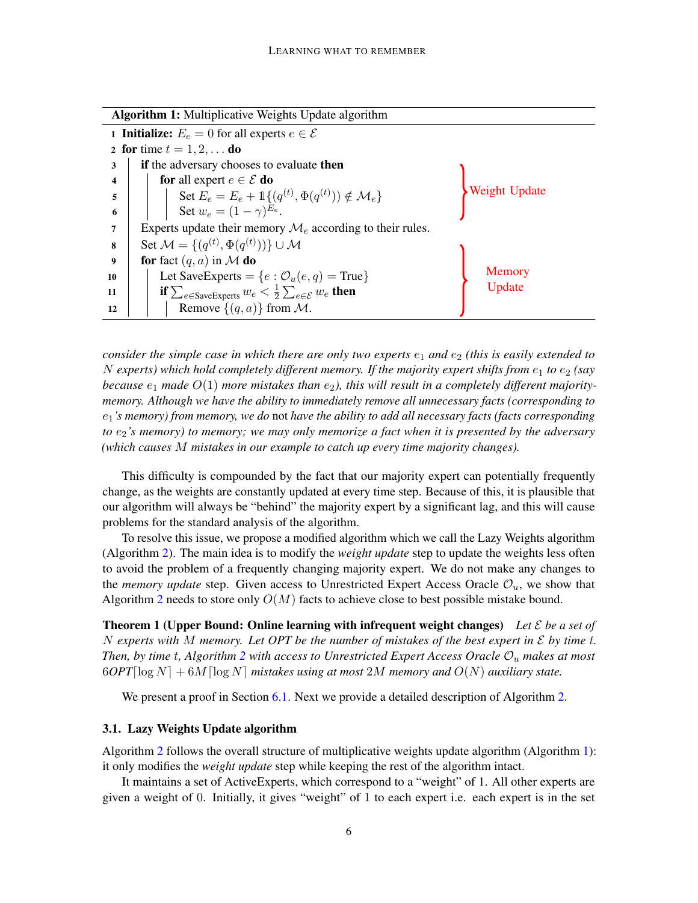<span id="page-5-1"></span>

| <b>Algorithm 1:</b> Multiplicative Weights Update algorithm        |                                                                                          |               |  |  |  |
|--------------------------------------------------------------------|------------------------------------------------------------------------------------------|---------------|--|--|--|
| <b>1 Initialize:</b> $E_e = 0$ for all experts $e \in \mathcal{E}$ |                                                                                          |               |  |  |  |
| 2 for time $t = 1, 2, $ do                                         |                                                                                          |               |  |  |  |
| 3                                                                  | if the adversary chooses to evaluate then                                                |               |  |  |  |
| 4                                                                  | <b>for</b> all expert $e \in \mathcal{E}$ <b>do</b>                                      |               |  |  |  |
| 5                                                                  | Set $E_e = E_e + \mathbb{1}\{(q^{(t)}, \Phi(q^{(t)})) \notin \mathcal{M}_e\}$            | Weight Update |  |  |  |
| 6                                                                  | Set $w_e = (1 - \gamma)^{E_e}$ .                                                         |               |  |  |  |
| 7                                                                  | Experts update their memory $\mathcal{M}_e$ according to their rules.                    |               |  |  |  |
| 8                                                                  | Set $\mathcal{M} = \{(q^{(t)}, \Phi(q^{(t)}))\}\cup \mathcal{M}$                         |               |  |  |  |
| 9                                                                  | for fact $(q, a)$ in M do                                                                |               |  |  |  |
| 10                                                                 | Let SaveExperts = { $e : \mathcal{O}_u(e,q)$ = True}                                     | Memory        |  |  |  |
| 11                                                                 | if $\sum_{e \in \text{SaveExpress}} w_e < \frac{1}{2} \sum_{e \in \mathcal{E}} w_e$ then | Update        |  |  |  |
| 12                                                                 | Remove $\{(q, a)\}\$ from M.                                                             |               |  |  |  |

*consider the simple case in which there are only two experts*  $e_1$  *and*  $e_2$  *(this is easily extended to* N experts) which hold completely different memory. If the majority expert shifts from  $e_1$  to  $e_2$  (say *because*  $e_1$  *made*  $O(1)$  *more mistakes than*  $e_2$ *), this will result in a completely different majoritymemory. Although we have the ability to immediately remove all unnecessary facts (corresponding to* e1*'s memory) from memory, we do* not *have the ability to add all necessary facts (facts corresponding to*  $e_2$ 's memory) to memory; we may only memorize a fact when it is presented by the adversary *(which causes* M *mistakes in our example to catch up every time majority changes).*

This difficulty is compounded by the fact that our majority expert can potentially frequently change, as the weights are constantly updated at every time step. Because of this, it is plausible that our algorithm will always be "behind" the majority expert by a significant lag, and this will cause problems for the standard analysis of the algorithm.

To resolve this issue, we propose a modified algorithm which we call the Lazy Weights algorithm (Algorithm [2\)](#page-6-1). The main idea is to modify the *weight update* step to update the weights less often to avoid the problem of a frequently changing majority expert. We do not make any changes to the *memory update* step. Given access to Unrestricted Expert Access Oracle  $\mathcal{O}_u$ , we show that Algorithm [2](#page-6-1) needs to store only  $O(M)$  facts to achieve close to best possible mistake bound.

Theorem 1 (Upper Bound: Online learning with infrequent weight changes) *Let* E *be a set of* N *experts with* M *memory. Let OPT be the number of mistakes of the best expert in* E *by time* t*. Then, by time* t*, Algorithm [2](#page-6-1) with access to Unrestricted Expert Access Oracle* O<sup>u</sup> *makes at most*  $60PT[\log N] + 6M[\log N]$  mistakes using at most 2M memory and  $O(N)$  auxiliary state.

<span id="page-5-0"></span>We present a proof in Section [6.1.](#page-10-0) Next we provide a detailed description of Algorithm [2.](#page-6-1)

## 3.1. Lazy Weights Update algorithm

Algorithm [2](#page-6-1) follows the overall structure of multiplicative weights update algorithm (Algorithm [1\)](#page-5-1): it only modifies the *weight update* step while keeping the rest of the algorithm intact.

It maintains a set of ActiveExperts, which correspond to a "weight" of 1. All other experts are given a weight of 0. Initially, it gives "weight" of 1 to each expert i.e. each expert is in the set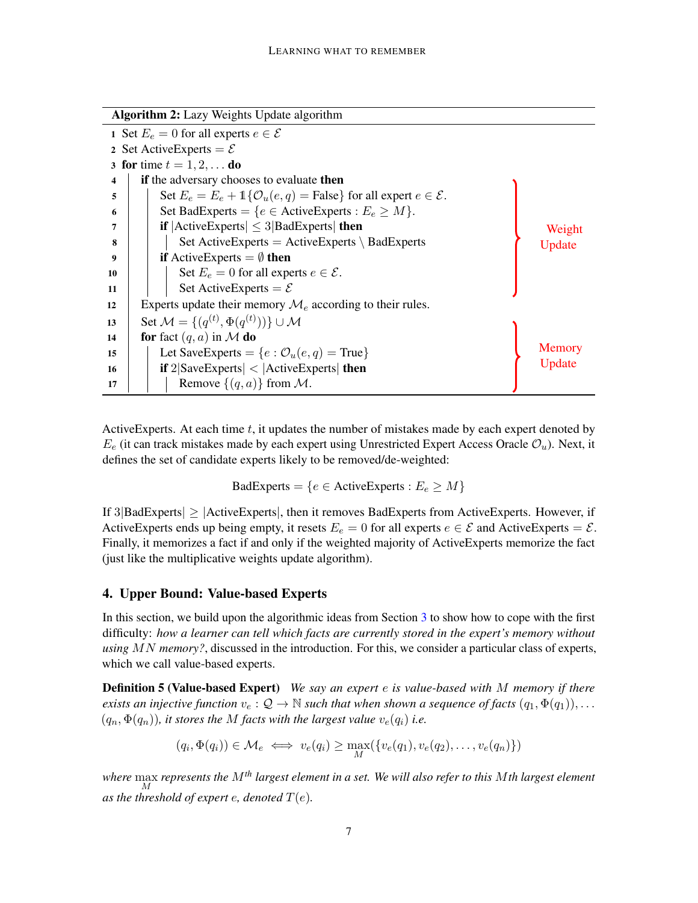<span id="page-6-2"></span><span id="page-6-1"></span>

| Algorithm 2: Lazy Weights Update algorithm |                                                                                           |        |  |  |
|--------------------------------------------|-------------------------------------------------------------------------------------------|--------|--|--|
|                                            | 1 Set $E_e = 0$ for all experts $e \in \mathcal{E}$                                       |        |  |  |
|                                            | 2 Set Active Experts = $\mathcal{E}$                                                      |        |  |  |
| 3 for time $t = 1, 2, $ do                 |                                                                                           |        |  |  |
| 4                                          | <b>if</b> the adversary chooses to evaluate <b>then</b>                                   |        |  |  |
| 5                                          | Set $E_e = E_e + 1$ { $\mathcal{O}_u(e, q) =$ False} for all expert $e \in \mathcal{E}$ . |        |  |  |
| 6                                          | Set BadExperts = { $e \in$ ActiveExperts : $E_e \geq M$ }.                                |        |  |  |
| 7                                          | <b>if</b> $ \text{ActiveExpress}  \leq 3 \text{BadExpress} $ then                         | Weight |  |  |
| 8                                          | Set ActiveExperts = ActiveExperts \ BadExperts                                            | Update |  |  |
| 9                                          | <b>if</b> Active Experts = $\emptyset$ then                                               |        |  |  |
| 10                                         | Set $E_e = 0$ for all experts $e \in \mathcal{E}$ .                                       |        |  |  |
| 11                                         | Set Active Experts = $\mathcal{E}$                                                        |        |  |  |
| 12                                         | Experts update their memory $\mathcal{M}_e$ according to their rules.                     |        |  |  |
| 13                                         | Set $\mathcal{M} = \{(q^{(t)}, \Phi(q^{(t)}))\}\cup \mathcal{M}$                          |        |  |  |
| 14                                         | for fact $(q, a)$ in M do                                                                 |        |  |  |
| 15                                         | Let SaveExperts = { $e : \mathcal{O}_u(e, q)$ = True}                                     | Memory |  |  |
| 16                                         | <b>if</b> $2 SaveExpress  <  ActiveExpress $ then                                         | Update |  |  |
| 17                                         | Remove $\{(q, a)\}\$ from M.                                                              |        |  |  |

<span id="page-6-3"></span>Active Experts. At each time  $t$ , it updates the number of mistakes made by each expert denoted by  $E_e$  (it can track mistakes made by each expert using Unrestricted Expert Access Oracle  $\mathcal{O}_u$ ). Next, it defines the set of candidate experts likely to be removed/de-weighted:

BadExperts = { $e \in$  ActiveExperts :  $E_e \geq M$ }

If  $3|BadExpress| \geq |ActiveExpress|$ , then it removes BadExperts from ActiveExperts. However, if ActiveExperts ends up being empty, it resets  $E_e = 0$  for all experts  $e \in \mathcal{E}$  and ActiveExperts =  $\mathcal{E}$ . Finally, it memorizes a fact if and only if the weighted majority of ActiveExperts memorize the fact (just like the multiplicative weights update algorithm).

## <span id="page-6-0"></span>4. Upper Bound: Value-based Experts

In this section, we build upon the algorithmic ideas from Section [3](#page-4-2) to show how to cope with the first difficulty: *how a learner can tell which facts are currently stored in the expert's memory without using* MN *memory?*, discussed in the introduction. For this, we consider a particular class of experts, which we call value-based experts.

Definition 5 (Value-based Expert) *We say an expert* e *is value-based with* M *memory if there exists an injective function*  $v_e : \mathcal{Q} \to \mathbb{N}$  *such that when shown a sequence of facts*  $(q_1, \Phi(q_1)), \dots$  $(q_n, \Phi(q_n))$ *, it stores the M facts with the largest value*  $v_e(q_i)$  *i.e.* 

<span id="page-6-4"></span>
$$
(q_i, \Phi(q_i)) \in \mathcal{M}_e \iff v_e(q_i) \ge \max_M(\{v_e(q_1), v_e(q_2), \dots, v_e(q_n)\})
$$

*where* max M *represents the* M*th largest element in a set. We will also refer to this* M*th largest element as the threshold of expert e, denoted*  $T(e)$ *.*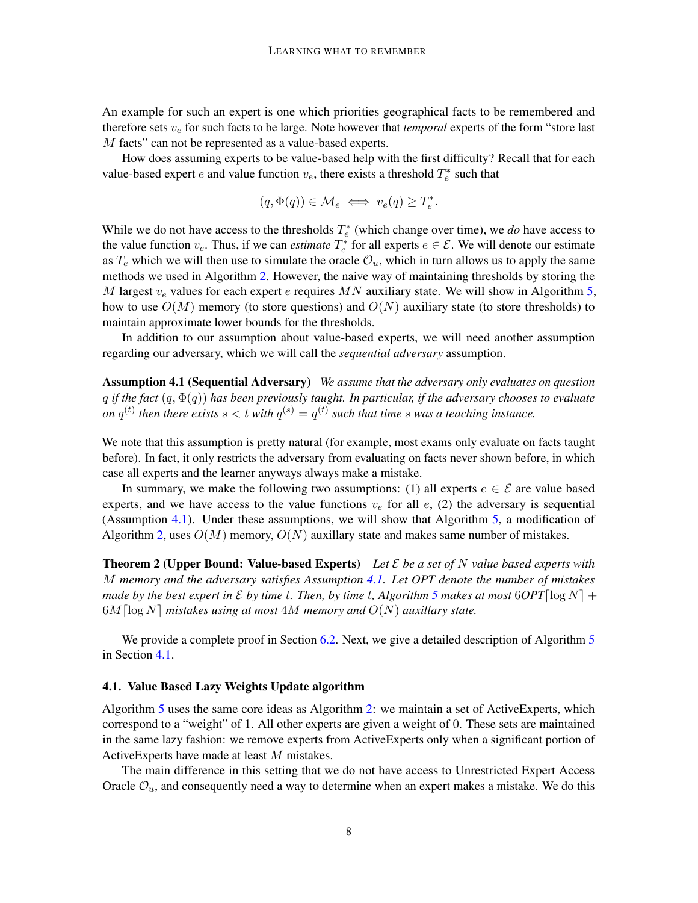An example for such an expert is one which priorities geographical facts to be remembered and therefore sets  $v_e$  for such facts to be large. Note however that *temporal* experts of the form "store last" M facts" can not be represented as a value-based experts.

How does assuming experts to be value-based help with the first difficulty? Recall that for each value-based expert e and value function  $v_e$ , there exists a threshold  $T_e^*$  such that

$$
(q, \Phi(q)) \in \mathcal{M}_e \iff v_e(q) \ge T_e^*.
$$

While we do not have access to the thresholds  $T_e^*$  (which change over time), we *do* have access to the value function  $v_e$ . Thus, if we can *estimate*  $T_e^*$  for all experts  $e \in \mathcal{E}$ . We will denote our estimate as  $T_e$  which we will then use to simulate the oracle  $\mathcal{O}_u$ , which in turn allows us to apply the same methods we used in Algorithm [2.](#page-6-1) However, the naive way of maintaining thresholds by storing the M largest  $v_e$  values for each expert e requires MN auxiliary state. We will show in Algorithm [5,](#page-9-1) how to use  $O(M)$  memory (to store questions) and  $O(N)$  auxiliary state (to store thresholds) to maintain approximate lower bounds for the thresholds.

In addition to our assumption about value-based experts, we will need another assumption regarding our adversary, which we will call the *sequential adversary* assumption.

<span id="page-7-0"></span>Assumption 4.1 (Sequential Adversary) *We assume that the adversary only evaluates on question* q *if the fact* (q, Φ(q)) *has been previously taught. In particular, if the adversary chooses to evaluate on*  $q^{(t)}$  then there exists  $s < t$  with  $q^{(s)} = q^{(t)}$  such that time  $s$  was a teaching instance.

We note that this assumption is pretty natural (for example, most exams only evaluate on facts taught before). In fact, it only restricts the adversary from evaluating on facts never shown before, in which case all experts and the learner anyways always make a mistake.

In summary, we make the following two assumptions: (1) all experts  $e \in \mathcal{E}$  are value based experts, and we have access to the value functions  $v_e$  for all  $e$ , (2) the adversary is sequential (Assumption [4.1\)](#page-7-0). Under these assumptions, we will show that Algorithm [5,](#page-9-1) a modification of Algorithm [2,](#page-6-1) uses  $O(M)$  memory,  $O(N)$  auxillary state and makes same number of mistakes.

<span id="page-7-1"></span>Theorem 2 (Upper Bound: Value-based Experts) *Let* E *be a set of* N *value based experts with* M *memory and the adversary satisfies Assumption [4.1.](#page-7-0) Let OPT denote the number of mistakes made by the best expert in*  $\mathcal E$  *by time t. Then, by time t, Algorithm* [5](#page-9-1) *makes at most*  $6OPT[\log N] +$  $6M \log N$  *mistakes using at most*  $4M$  *memory and*  $O(N)$  *auxillary state.* 

We provide a complete proof in Section [6.2.](#page-13-0) Next, we give a detailed description of Algorithm [5](#page-9-1) in Section [4.1.](#page-7-2)

### <span id="page-7-2"></span>4.1. Value Based Lazy Weights Update algorithm

Algorithm [5](#page-9-1) uses the same core ideas as Algorithm [2:](#page-6-1) we maintain a set of ActiveExperts, which correspond to a "weight" of 1. All other experts are given a weight of 0. These sets are maintained in the same lazy fashion: we remove experts from ActiveExperts only when a significant portion of ActiveExperts have made at least M mistakes.

The main difference in this setting that we do not have access to Unrestricted Expert Access Oracle  $\mathcal{O}_u$ , and consequently need a way to determine when an expert makes a mistake. We do this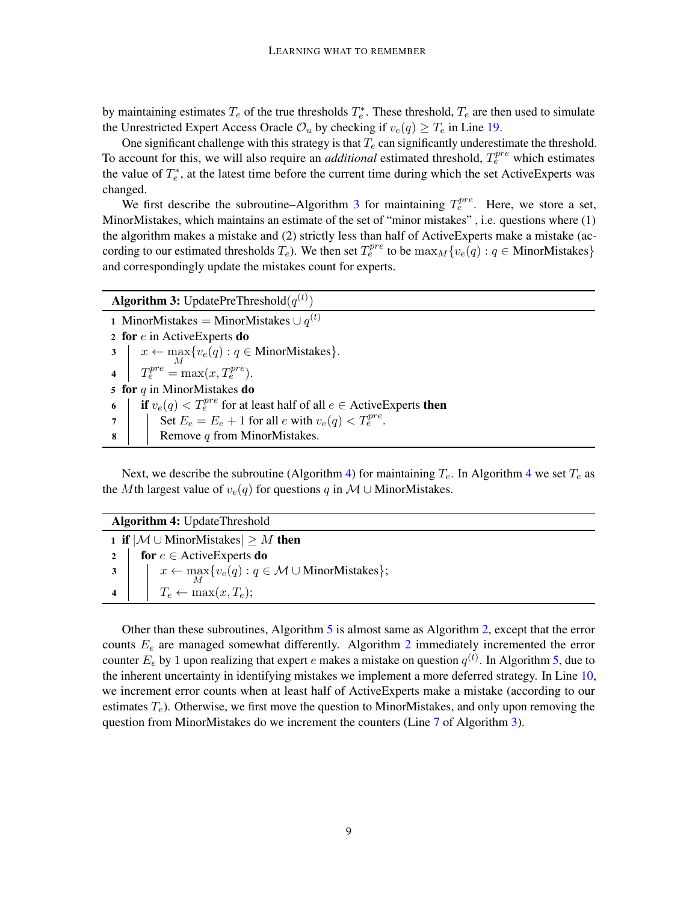by maintaining estimates  $T_e$  of the true thresholds  $T_e^*$ . These threshold,  $T_e$  are then used to simulate the Unrestricted Expert Access Oracle  $\mathcal{O}_u$  by checking if  $v_e(q) \geq T_e$  in Line [19.](#page-9-2)

One significant challenge with this strategy is that  $T_e$  can significantly underestimate the threshold. To account for this, we will also require an *additional* estimated threshold,  $T_e^{pre}$  which estimates the value of  $T_e^*$ , at the latest time before the current time during which the set ActiveExperts was changed.

We first describe the subroutine–Algorithm [3](#page-8-0) for maintaining  $T_e^{pre}$ . Here, we store a set, MinorMistakes, which maintains an estimate of the set of "minor mistakes" , i.e. questions where (1) the algorithm makes a mistake and (2) strictly less than half of ActiveExperts make a mistake (according to our estimated thresholds  $T_e$ ). We then set  $T_e^{pre}$  to be  $\max_M\{v_e(q): q \in \text{MinorMistakes}\}\$ and correspondingly update the mistakes count for experts.

<span id="page-8-4"></span><span id="page-8-3"></span><span id="page-8-0"></span>

| <b>Algorithm 3:</b> UpdatePreThreshold $(q^{(t)})$                                       |  |  |  |  |
|------------------------------------------------------------------------------------------|--|--|--|--|
| 1 MinorMistakes = MinorMistakes $\cup$ $q^{(t)}$                                         |  |  |  |  |
| 2 for $e$ in Active Experts do                                                           |  |  |  |  |
| 3 $x \leftarrow \max_{M} \{v_e(q) : q \in \text{MinorMistakes}\}.$                       |  |  |  |  |
| 4 $T_e^{pre} = \max(x, T_e^{pre}).$                                                      |  |  |  |  |
| 5 for $q$ in MinorMistakes do                                                            |  |  |  |  |
| <b>if</b> $v_e(q) < T_e^{pre}$ for at least half of all $e \in$ Active Experts then<br>6 |  |  |  |  |
| 7   Set $E_e = E_e + 1$ for all $e$ with $v_e(q) < T_e^{pre}$ .                          |  |  |  |  |
| $8-1$<br>Remove $q$ from MinorMistakes.                                                  |  |  |  |  |

<span id="page-8-2"></span>Next, we describe the subroutine (Algorithm [4\)](#page-8-1) for maintaining  $T_e$ . In Algorithm [4](#page-8-1) we set  $T_e$  as the Mth largest value of  $v_e(q)$  for questions q in M ∪ MinorMistakes.

<span id="page-8-1"></span>

| <b>Algorithm 4: UpdateThreshold</b> |                                                                                           |  |
|-------------------------------------|-------------------------------------------------------------------------------------------|--|
|                                     | 1 if $ M \cup$ MinorMistakes $\geq M$ then                                                |  |
|                                     | 2   for $e \in$ Active Experts do                                                         |  |
|                                     | 3 $\vert x \vert = x \leftarrow \max_{M} \{v_e(q) : q \in M \cup \text{MinorMistakes}\};$ |  |
|                                     | 4   $T_e \leftarrow \max(x, T_e);$                                                        |  |

Other than these subroutines, Algorithm [5](#page-9-1) is almost same as Algorithm [2,](#page-6-1) except that the error counts  $E_e$  are managed somewhat differently. Algorithm  $2$  immediately incremented the error counter  $E_e$  by 1 upon realizing that expert  $e$  makes a mistake on question  $q^{(t)}$ . In Algorithm [5,](#page-9-1) due to the inherent uncertainty in identifying mistakes we implement a more deferred strategy. In Line [10,](#page-9-3) we increment error counts when at least half of ActiveExperts make a mistake (according to our estimates  $T_e$ ). Otherwise, we first move the question to MinorMistakes, and only upon removing the question from MinorMistakes do we increment the counters (Line [7](#page-8-2) of Algorithm [3\)](#page-8-0).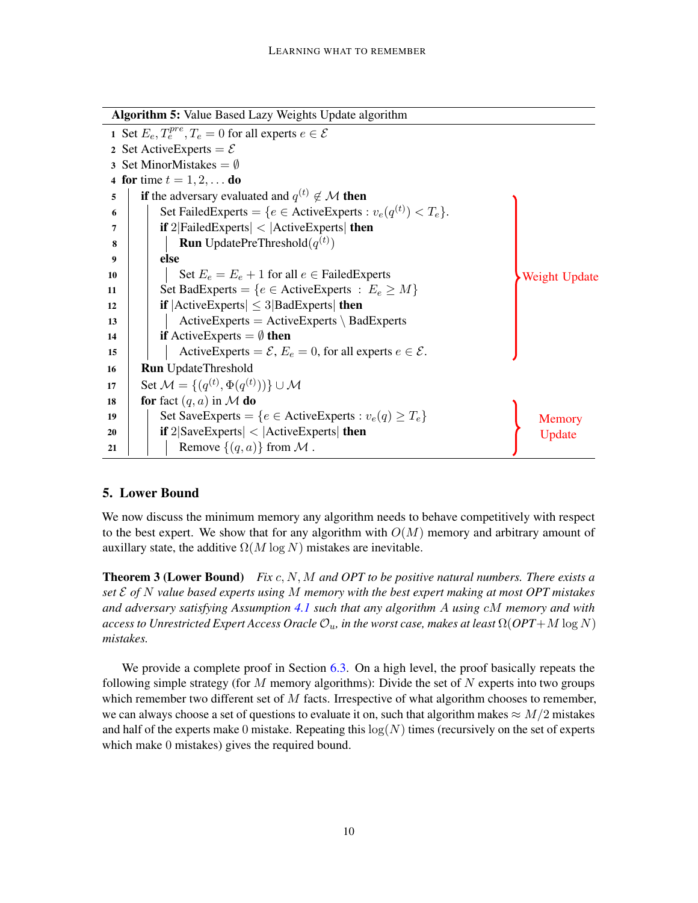<span id="page-9-4"></span><span id="page-9-3"></span><span id="page-9-1"></span>

| <b>Algorithm 5: Value Based Lazy Weights Update algorithm</b> |                                                                                  |               |  |  |
|---------------------------------------------------------------|----------------------------------------------------------------------------------|---------------|--|--|
|                                                               | 1 Set $E_e, T_e^{pre}, T_e = 0$ for all experts $e \in \mathcal{E}$              |               |  |  |
|                                                               | 2 Set Active Experts = $\mathcal{E}$                                             |               |  |  |
|                                                               | 3 Set MinorMistakes = $\emptyset$                                                |               |  |  |
|                                                               | 4 for time $t = 1, 2, $ do                                                       |               |  |  |
| 5                                                             | <b>if</b> the adversary evaluated and $q^{(t)} \notin \mathcal{M}$ then          |               |  |  |
| 6                                                             | Set Failed Experts = { $e \in$ Active Experts : $v_e(q^{(t)}) < T_e$ }.          |               |  |  |
| 7                                                             | if $2 {\rm FailedExpress}  <  {\rm ActiveExpress} $ then                         |               |  |  |
| 8                                                             | <b>Run</b> UpdatePreThreshold $(q^{(t)})$                                        |               |  |  |
| 9                                                             | else                                                                             |               |  |  |
| 10                                                            | Set $E_e = E_e + 1$ for all $e \in \text{FailedExpress}$                         | Weight Update |  |  |
| 11                                                            | Set BadExperts = { $e \in$ ActiveExperts : $E_e \geq M$ }                        |               |  |  |
| 12                                                            | <b>if</b> $ \text{ActiveExpress}  \leq 3 \text{BadExpress} $ then                |               |  |  |
| 13                                                            | $ActiveExpress = ActiveExpress \ < BadExpress$                                   |               |  |  |
| 14                                                            | <b>if</b> ActiveExperts = $\emptyset$ <b>then</b>                                |               |  |  |
| 15                                                            | ActiveExperts = $\mathcal{E}$ , $E_e$ = 0, for all experts $e \in \mathcal{E}$ . |               |  |  |
| 16                                                            | <b>Run</b> UpdateThreshold                                                       |               |  |  |
| 17                                                            | Set $\mathcal{M} = \{(q^{(t)}, \Phi(q^{(t)}))\}\cup \mathcal{M}$                 |               |  |  |
| 18                                                            | for fact $(q, a)$ in M do                                                        |               |  |  |
| 19                                                            | Set SaveExperts = { $e \in$ ActiveExperts : $v_e(q) \ge T_e$ }                   | Memory        |  |  |
| 20                                                            | <b>if</b> $2 SaveExpress  <  ActiveExpress $ then                                | Update        |  |  |
| 21                                                            | Remove $\{(q, a)\}\$ from M.                                                     |               |  |  |

## <span id="page-9-5"></span><span id="page-9-2"></span>5. Lower Bound

We now discuss the minimum memory any algorithm needs to behave competitively with respect to the best expert. We show that for any algorithm with  $O(M)$  memory and arbitrary amount of auxillary state, the additive  $\Omega(M \log N)$  mistakes are inevitable.

<span id="page-9-0"></span>Theorem 3 (Lower Bound) *Fix* c, N, M *and OPT to be positive natural numbers. There exists a set* E *of* N *value based experts using* M *memory with the best expert making at most OPT mistakes and adversary satisfying Assumption [4.1](#page-7-0) such that any algorithm* A *using* cM *memory and with*  $access$  to Unrestricted Expert Access Oracle  $\mathcal{O}_u$ , in the worst case, makes at least  $\Omega(OPT+M\log N)$ *mistakes.*

We provide a complete proof in Section [6.3.](#page-16-0) On a high level, the proof basically repeats the following simple strategy (for  $M$  memory algorithms): Divide the set of  $N$  experts into two groups which remember two different set of  $M$  facts. Irrespective of what algorithm chooses to remember, we can always choose a set of questions to evaluate it on, such that algorithm makes  $\approx M/2$  mistakes and half of the experts make 0 mistake. Repeating this  $log(N)$  times (recursively on the set of experts which make 0 mistakes) gives the required bound.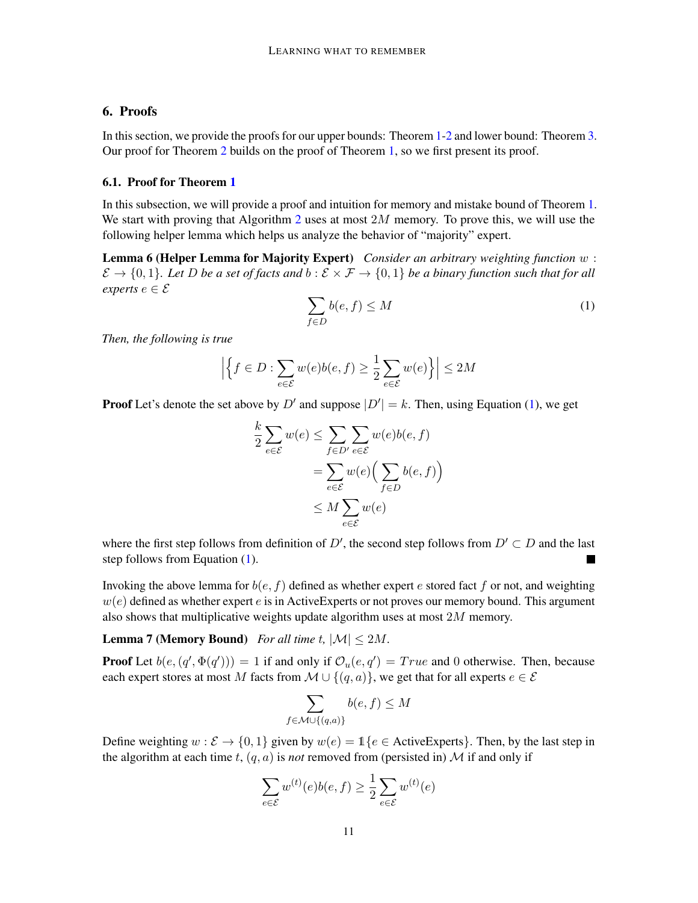## 6. Proofs

In this section, we provide the proofs for our upper bounds: Theorem [1](#page-5-0)[-2](#page-7-1) and lower bound: Theorem [3.](#page-9-0) Our proof for Theorem [2](#page-7-1) builds on the proof of Theorem [1,](#page-5-0) so we first present its proof.

## <span id="page-10-0"></span>6.1. Proof for Theorem [1](#page-5-0)

In this subsection, we will provide a proof and intuition for memory and mistake bound of Theorem [1.](#page-5-0) We start with proving that Algorithm [2](#page-6-1) uses at most  $2M$  memory. To prove this, we will use the following helper lemma which helps us analyze the behavior of "majority" expert.

Lemma 6 (Helper Lemma for Majority Expert) *Consider an arbitrary weighting function* w :  $\mathcal{E} \to \{0, 1\}$ . Let D be a set of facts and  $b : \mathcal{E} \times \mathcal{F} \to \{0, 1\}$  be a binary function such that for all *experts*  $e \in \mathcal{E}$ 

<span id="page-10-2"></span><span id="page-10-1"></span>
$$
\sum_{f \in D} b(e, f) \le M \tag{1}
$$

*Then, the following is true*

$$
\left| \left\{ f \in D : \sum_{e \in \mathcal{E}} w(e)b(e, f) \ge \frac{1}{2} \sum_{e \in \mathcal{E}} w(e) \right\} \right| \le 2M
$$

**Proof** Let's denote the set above by D' and suppose  $|D'| = k$ . Then, using Equation [\(1\)](#page-10-1), we get

$$
\frac{k}{2} \sum_{e \in \mathcal{E}} w(e) \le \sum_{f \in D'} \sum_{e \in \mathcal{E}} w(e)b(e, f)
$$

$$
= \sum_{e \in \mathcal{E}} w(e) \Big( \sum_{f \in D} b(e, f) \Big)
$$

$$
\le M \sum_{e \in \mathcal{E}} w(e)
$$

where the first step follows from definition of D', the second step follows from  $D' \subset D$  and the last step follows from Equation [\(1\)](#page-10-1).

Invoking the above lemma for  $b(e, f)$  defined as whether expert e stored fact f or not, and weighting  $w(e)$  defined as whether expert e is in ActiveExperts or not proves our memory bound. This argument also shows that multiplicative weights update algorithm uses at most  $2M$  memory.

# **Lemma 7 (Memory Bound)** *For all time t,*  $|\mathcal{M}| \leq 2M$ .

**Proof** Let  $b(e, (q', \Phi(q'))) = 1$  if and only if  $\mathcal{O}_u(e, q') = True$  and 0 otherwise. Then, because each expert stores at most M facts from  $M \cup \{(q, a)\}\)$ , we get that for all experts  $e \in \mathcal{E}$ 

<span id="page-10-3"></span>
$$
\sum_{f \in \mathcal{M} \cup \{(q,a)\}} b(e,f) \le M
$$

Define weighting  $w : \mathcal{E} \to \{0, 1\}$  given by  $w(e) = \mathbb{1}\{e \in \text{ActiveExpress}\}\)$ . Then, by the last step in the algorithm at each time t,  $(q, a)$  is *not* removed from (persisted in) M if and only if

$$
\sum_{e \in \mathcal{E}} w^{(t)}(e)b(e, f) \ge \frac{1}{2} \sum_{e \in \mathcal{E}} w^{(t)}(e)
$$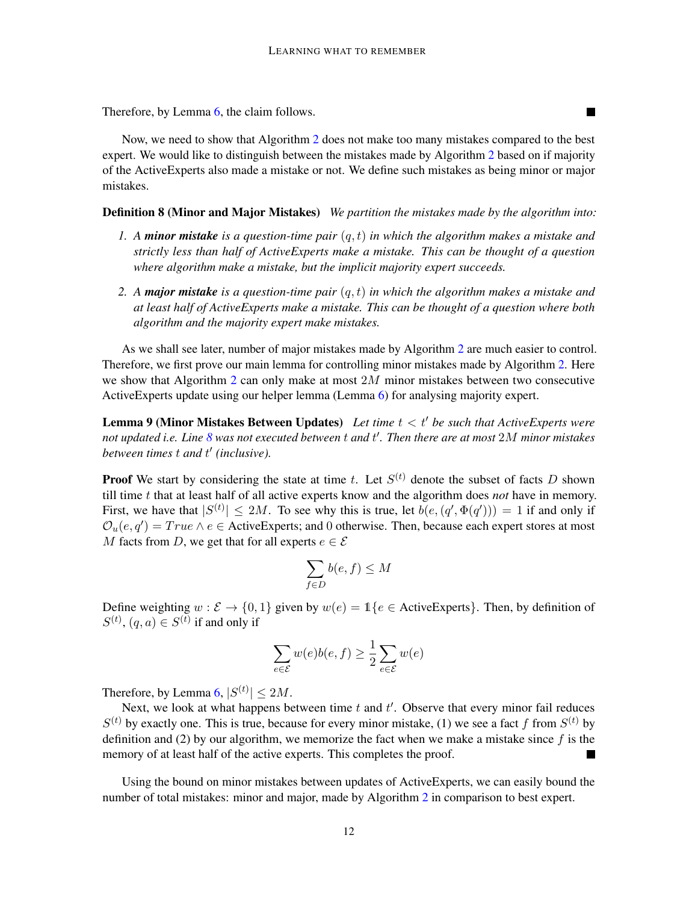Therefore, by Lemma [6,](#page-10-2) the claim follows.

Now, we need to show that Algorithm [2](#page-6-1) does not make too many mistakes compared to the best expert. We would like to distinguish between the mistakes made by Algorithm [2](#page-6-1) based on if majority of the ActiveExperts also made a mistake or not. We define such mistakes as being minor or major mistakes.

П

## <span id="page-11-2"></span>Definition 8 (Minor and Major Mistakes) *We partition the mistakes made by the algorithm into:*

- *1. A minor mistake is a question-time pair* (q, t) *in which the algorithm makes a mistake and strictly less than half of ActiveExperts make a mistake. This can be thought of a question where algorithm make a mistake, but the implicit majority expert succeeds.*
- *2. A major mistake is a question-time pair* (q, t) *in which the algorithm makes a mistake and at least half of ActiveExperts make a mistake. This can be thought of a question where both algorithm and the majority expert make mistakes.*

As we shall see later, number of major mistakes made by Algorithm [2](#page-6-1) are much easier to control. Therefore, we first prove our main lemma for controlling minor mistakes made by Algorithm [2.](#page-6-1) Here we show that Algorithm [2](#page-6-1) can only make at most  $2M$  minor mistakes between two consecutive ActiveExperts update using our helper lemma (Lemma [6\)](#page-10-2) for analysing majority expert.

<span id="page-11-0"></span>**Lemma 9 (Minor Mistakes Between Updates)** Let time  $t < t'$  be such that  $ActiveExpress$  *were not updated i.e. Line [8](#page-6-2) was not executed between* t *and* t 0 *. Then there are at most* 2M *minor mistakes between times* t *and* t 0 *(inclusive).*

**Proof** We start by considering the state at time t. Let  $S^{(t)}$  denote the subset of facts D shown till time t that at least half of all active experts know and the algorithm does *not* have in memory. First, we have that  $|S^{(t)}| \le 2M$ . To see why this is true, let  $b(e, (q', \Phi(q'))) = 1$  if and only if  $\mathcal{O}_u(e, q') = True \land e \in ActiveExpress$ ; and 0 otherwise. Then, because each expert stores at most M facts from D, we get that for all experts  $e \in \mathcal{E}$ 

$$
\sum_{f \in D} b(e, f) \le M
$$

Define weighting  $w : \mathcal{E} \to \{0, 1\}$  given by  $w(e) = \mathbb{1}\{e \in \text{ActiveExpress}\}\.$  Then, by definition of  $S^{(t)}$ ,  $(q, a) \in S^{(t)}$  if and only if

<span id="page-11-1"></span>
$$
\sum_{e\in\mathcal{E}} w(e)b(e,f) \geq \frac{1}{2}\sum_{e\in\mathcal{E}} w(e)
$$

Therefore, by Lemma [6,](#page-10-2)  $|S^{(t)}| \le 2M$ .

Next, we look at what happens between time  $t$  and  $t'$ . Observe that every minor fail reduces  $S<sup>(t)</sup>$  by exactly one. This is true, because for every minor mistake, (1) we see a fact f from  $S<sup>(t)</sup>$  by definition and (2) by our algorithm, we memorize the fact when we make a mistake since  $f$  is the memory of at least half of the active experts. This completes the proof.

Using the bound on minor mistakes between updates of ActiveExperts, we can easily bound the number of total mistakes: minor and major, made by Algorithm [2](#page-6-1) in comparison to best expert.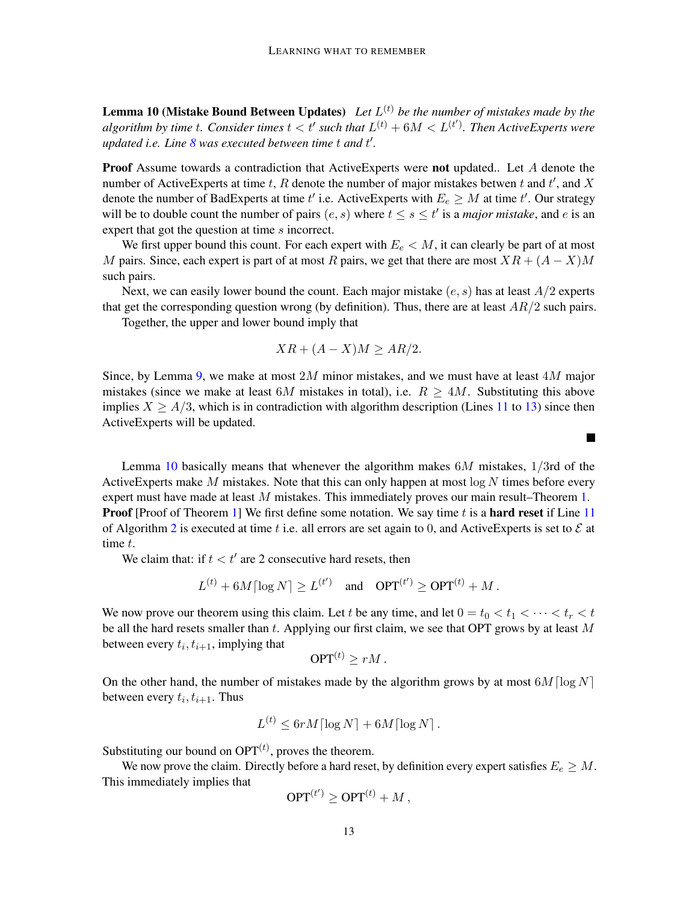**Lemma 10 (Mistake Bound Between Updates)** Let  $L^{(t)}$  be the number of mistakes made by the *algorithm by time t. Consider times*  $t < t'$  such that  $L^{(t)} + 6M < L^{(t')}$ . Then ActiveExperts were *updated i.e. Line [8](#page-6-2) was executed between time* t *and* t 0 *.*

**Proof** Assume towards a contradiction that ActiveExperts were **not** updated.. Let A denote the number of ActiveExperts at time t, R denote the number of major mistakes betwen t and t', and X denote the number of BadExperts at time  $t'$  i.e. ActiveExperts with  $E_e \geq M$  at time  $t'$ . Our strategy will be to double count the number of pairs  $(e, s)$  where  $t \leq s \leq t'$  is a *major mistake*, and e is an expert that got the question at time s incorrect.

We first upper bound this count. For each expert with  $E_e < M$ , it can clearly be part of at most M pairs. Since, each expert is part of at most R pairs, we get that there are most  $XR + (A - X)M$ such pairs.

Next, we can easily lower bound the count. Each major mistake  $(e, s)$  has at least  $A/2$  experts that get the corresponding question wrong (by definition). Thus, there are at least  $AR/2$  such pairs.

Together, the upper and lower bound imply that

$$
XR + (A - X)M \ge AR/2.
$$

Since, by Lemma [9,](#page-11-0) we make at most  $2M$  minor mistakes, and we must have at least  $4M$  major mistakes (since we make at least 6M mistakes in total), i.e.  $R \geq 4M$ . Substituting this above implies  $X \geq A/3$ , which is in contradiction with algorithm description (Lines [11](#page-9-4) to [13\)](#page-9-5) since then ActiveExperts will be updated.

Lemma [10](#page-11-1) basically means that whenever the algorithm makes  $6M$  mistakes,  $1/3$ rd of the Active Experts make M mistakes. Note that this can only happen at most  $\log N$  times before every expert must have made at least M mistakes. This immediately proves our main result–Theorem [1.](#page-5-0) **Proof** [Proof of Theorem [1\]](#page-5-0) We first define some notation. We say time  $t$  is a **hard reset** if Line [11](#page-6-3) of Algorithm [2](#page-6-1) is executed at time t i.e. all errors are set again to 0, and ActiveExperts is set to  $\mathcal E$  at time t.

We claim that: if  $t < t'$  are 2 consecutive hard resets, then

$$
L^{(t)} + 6M \left[ \log N \right] \ge L^{(t')} \quad \text{and} \quad \text{OPT}^{(t')} \ge \text{OPT}^{(t)} + M \, .
$$

We now prove our theorem using this claim. Let t be any time, and let  $0 = t_0 < t_1 < \cdots < t_r < t$ be all the hard resets smaller than  $t$ . Applying our first claim, we see that OPT grows by at least  $M$ between every  $t_i, t_{i+1}$ , implying that

$$
\text{OPT}^{(t)} \geq rM \, .
$$

On the other hand, the number of mistakes made by the algorithm grows by at most  $6M \lceil \log N \rceil$ between every  $t_i, t_{i+1}$ . Thus

$$
L^{(t)} \leq 6rM\lceil \log N \rceil + 6M\lceil \log N \rceil.
$$

Substituting our bound on  $OPT<sup>(t)</sup>$ , proves the theorem.

We now prove the claim. Directly before a hard reset, by definition every expert satisfies  $E_e \geq M$ . This immediately implies that

$$
\mathrm{OPT}^{(t')}\geq \mathrm{OPT}^{(t)}+M\,,
$$

 $\blacksquare$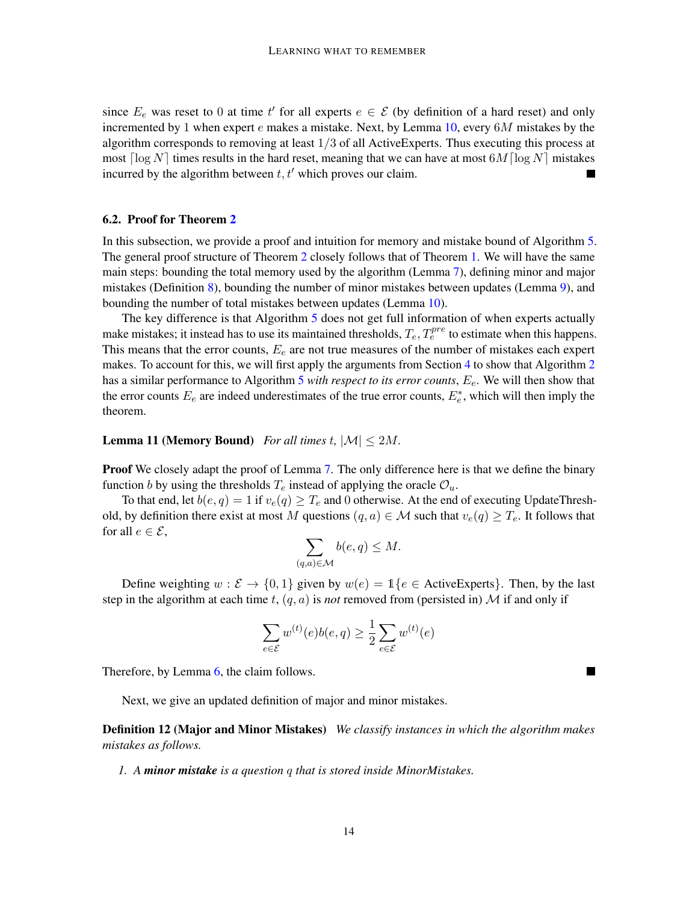since  $E_e$  was reset to 0 at time t' for all experts  $e \in \mathcal{E}$  (by definition of a hard reset) and only incremented by 1 when expert  $e$  makes a mistake. Next, by Lemma [10,](#page-11-1) every  $6M$  mistakes by the algorithm corresponds to removing at least  $1/3$  of all ActiveExperts. Thus executing this process at most  $\lceil \log N \rceil$  times results in the hard reset, meaning that we can have at most  $\lceil \log N \rceil$  mistakes incurred by the algorithm between  $t, t'$  which proves our claim.

## <span id="page-13-0"></span>6.2. Proof for Theorem [2](#page-7-1)

In this subsection, we provide a proof and intuition for memory and mistake bound of Algorithm [5.](#page-9-1) The general proof structure of Theorem [2](#page-7-1) closely follows that of Theorem [1.](#page-5-0) We will have the same main steps: bounding the total memory used by the algorithm (Lemma [7\)](#page-10-3), defining minor and major mistakes (Definition [8\)](#page-11-2), bounding the number of minor mistakes between updates (Lemma [9\)](#page-11-0), and bounding the number of total mistakes between updates (Lemma [10\)](#page-11-1).

The key difference is that Algorithm [5](#page-9-1) does not get full information of when experts actually make mistakes; it instead has to use its maintained thresholds,  $T_e, T_e^{pre}$  to estimate when this happens. This means that the error counts,  $E_e$  are not true measures of the number of mistakes each expert makes. To account for this, we will first apply the arguments from Section [4](#page-6-0) to show that Algorithm [2](#page-6-1) has a similar performance to Algorithm [5](#page-9-1) *with respect to its error counts*, Ee. We will then show that the error counts  $E_e$  are indeed underestimates of the true error counts,  $E_e^*$ , which will then imply the theorem.

## <span id="page-13-1"></span>**Lemma 11 (Memory Bound)** *For all times t,*  $|\mathcal{M}| \leq 2M$ .

**Proof** We closely adapt the proof of Lemma [7.](#page-10-3) The only difference here is that we define the binary function b by using the thresholds  $T_e$  instead of applying the oracle  $\mathcal{O}_u$ .

To that end, let  $b(e, q) = 1$  if  $v_e(q) \geq T_e$  and 0 otherwise. At the end of executing UpdateThreshold, by definition there exist at most M questions  $(q, a) \in \mathcal{M}$  such that  $v_e(q) \geq T_e$ . It follows that for all  $e \in \mathcal{E}$ ,

$$
\sum_{(q,a)\in\mathcal{M}}b(e,q)\leq M.
$$

Define weighting  $w : \mathcal{E} \to \{0, 1\}$  given by  $w(e) = \mathbb{1}\{e \in \text{ActiveExpress}\}\.$  Then, by the last step in the algorithm at each time t,  $(q, a)$  is *not* removed from (persisted in) M if and only if

$$
\sum_{e \in \mathcal{E}} w^{(t)}(e)b(e, q) \ge \frac{1}{2} \sum_{e \in \mathcal{E}} w^{(t)}(e)
$$

П

Therefore, by Lemma [6,](#page-10-2) the claim follows.

Next, we give an updated definition of major and minor mistakes.

<span id="page-13-2"></span>Definition 12 (Major and Minor Mistakes) *We classify instances in which the algorithm makes mistakes as follows.*

*1. A minor mistake is a question* q *that is stored inside MinorMistakes.*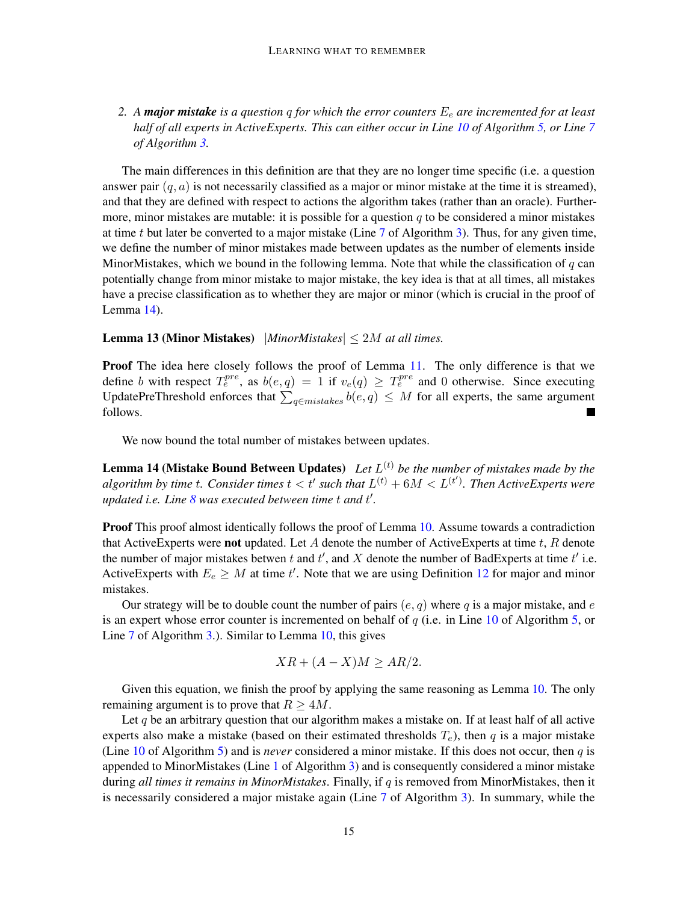2. A **major mistake** is a question q for which the error counters  $E_e$  are incremented for at least *half of all experts in ActiveExperts. This can either occur in Line [10](#page-9-3) of Algorithm [5,](#page-9-1) or Line [7](#page-8-2) of Algorithm [3.](#page-8-0)*

The main differences in this definition are that they are no longer time specific (i.e. a question answer pair  $(q, a)$  is not necessarily classified as a major or minor mistake at the time it is streamed), and that they are defined with respect to actions the algorithm takes (rather than an oracle). Furthermore, minor mistakes are mutable: it is possible for a question  $q$  to be considered a minor mistakes at time t but later be converted to a major mistake (Line  $7$  of Algorithm [3\)](#page-8-0). Thus, for any given time, we define the number of minor mistakes made between updates as the number of elements inside MinorMistakes, which we bound in the following lemma. Note that while the classification of  $q$  can potentially change from minor mistake to major mistake, the key idea is that at all times, all mistakes have a precise classification as to whether they are major or minor (which is crucial in the proof of Lemma [14\)](#page-14-0).

## <span id="page-14-1"></span>**Lemma 13 (Minor Mistakes)**  $|MinorMistakes| \leq 2M$  *at all times.*

Proof The idea here closely follows the proof of Lemma [11.](#page-13-1) The only difference is that we define b with respect  $T_e^{pre}$ , as  $b(e,q) = 1$  if  $v_e(q) \geq T_e^{pre}$  and 0 otherwise. Since executing UpdatePreThreshold enforces that  $\sum_{q \in mistakes} b(e,q) \leq M$  for all experts, the same argument follows.

We now bound the total number of mistakes between updates.

<span id="page-14-0"></span>**Lemma 14 (Mistake Bound Between Updates)** Let  $L^{(t)}$  be the number of mistakes made by the *algorithm by time t. Consider times*  $t < t'$  such that  $L^{(t)} + 6M < L^{(t')}$ . Then ActiveExperts were *updated i.e. Line [8](#page-6-2) was executed between time* t *and* t 0 *.*

**Proof** This proof almost identically follows the proof of Lemma [10.](#page-11-1) Assume towards a contradiction that ActiveExperts were **not** updated. Let  $A$  denote the number of ActiveExperts at time  $t$ ,  $R$  denote the number of major mistakes betwen t and t', and X denote the number of BadExperts at time t' i.e. ActiveExperts with  $E_e \geq M$  at time t'. Note that we are using Definition [12](#page-13-2) for major and minor mistakes.

Our strategy will be to double count the number of pairs  $(e, q)$  where q is a major mistake, and e is an expert whose error counter is incremented on behalf of  $q$  (i.e. in Line [10](#page-9-3) of Algorithm [5,](#page-9-1) or Line [7](#page-8-2) of Algorithm [3.](#page-8-0)). Similar to Lemma [10,](#page-11-1) this gives

$$
XR + (A - X)M \ge AR/2.
$$

Given this equation, we finish the proof by applying the same reasoning as Lemma [10.](#page-11-1) The only remaining argument is to prove that  $R \geq 4M$ .

Let q be an arbitrary question that our algorithm makes a mistake on. If at least half of all active experts also make a mistake (based on their estimated thresholds  $T_e$ ), then q is a major mistake (Line [10](#page-9-3) of Algorithm [5\)](#page-9-1) and is *never* considered a minor mistake. If this does not occur, then q is appended to MinorMistakes (Line [1](#page-8-3) of Algorithm [3\)](#page-8-0) and is consequently considered a minor mistake during *all times it remains in MinorMistakes*. Finally, if q is removed from MinorMistakes, then it is necessarily considered a major mistake again (Line  $7$  of Algorithm [3\)](#page-8-0). In summary, while the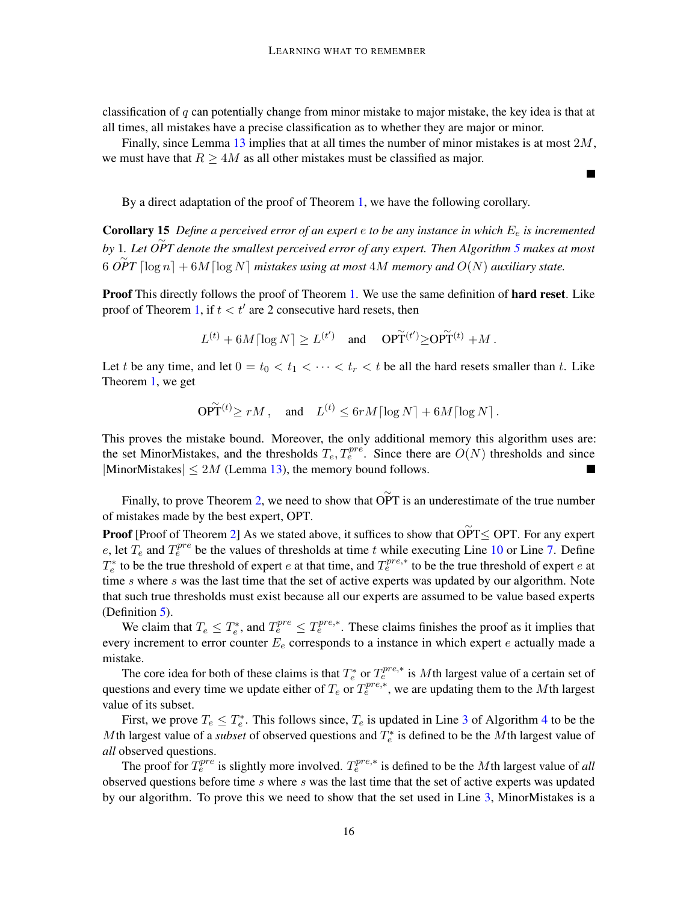classification of  $q$  can potentially change from minor mistake to major mistake, the key idea is that at all times, all mistakes have a precise classification as to whether they are major or minor.

Finally, since Lemma [13](#page-14-1) implies that at all times the number of minor mistakes is at most 2M, we must have that  $R \geq 4M$  as all other mistakes must be classified as major.

Ξ

By a direct adaptation of the proof of Theorem [1,](#page-5-0) we have the following corollary.

Corollary 15 *Define a perceived error of an expert* e *to be any instance in which* E<sup>e</sup> *is incremented by* 1*. Let* ∼ *OPT denote the smallest perceived error of any expert. Then Algorithm [5](#page-9-1) makes at most*  $\widetilde{OPT}$  [log n] + 6M [log N] mistakes using at most 4M memory and  $O(N)$  auxiliary state.

**Proof** This directly follows the proof of Theorem [1.](#page-5-0) We use the same definition of **hard reset**. Like proof of Theorem [1,](#page-5-0) if  $t < t'$  are 2 consecutive hard resets, then

$$
L^{(t)} + 6M\lceil\log N\rceil \ge L^{(t')} \quad \text{and} \quad \text{OPT}^{(t')} \ge \text{OPT}^{(t)} + M \,.
$$

Let t be any time, and let  $0 = t_0 < t_1 < \cdots < t_r < t$  be all the hard resets smaller than t. Like Theorem [1,](#page-5-0) we get

$$
\widetilde{\text{OPT}}^{(t)} \ge rM \,, \quad \text{and} \quad L^{(t)} \le 6rM \lceil \log N \rceil + 6M \lceil \log N \rceil \,.
$$

This proves the mistake bound. Moreover, the only additional memory this algorithm uses are: the set MinorMistakes, and the thresholds  $T_e, T_e^{pre}$ . Since there are  $O(N)$  thresholds and since |MinorMistakes|  $\leq 2M$  (Lemma [13\)](#page-14-1), the memory bound follows.

Finally, to prove Theorem [2,](#page-7-1) we need to show that  $\widetilde{OPT}$  is an underestimate of the true number of mistakes made by the best expert, OPT.

**Proof** [Proof of Theorem [2\]](#page-7-1) As we stated above, it suffices to show that  $\widetilde{OPT} \leq OPT$ . For any expert e, let  $T_e$  and  $T_e^{pre}$  be the values of thresholds at time t while executing Line [10](#page-9-3) or Line [7.](#page-8-2) Define  $T_e^*$  to be the true threshold of expert *e* at that time, and  $T_e^{pre,*}$  to be the true threshold of expert *e* at time  $s$  where  $s$  was the last time that the set of active experts was updated by our algorithm. Note that such true thresholds must exist because all our experts are assumed to be value based experts (Definition [5\)](#page-6-4).

We claim that  $T_e \leq T_e^*$ , and  $T_e^{pre} \leq T_e^{pre,*}$ . These claims finishes the proof as it implies that every increment to error counter  $E_e$  corresponds to a instance in which expert  $e$  actually made a mistake.

The core idea for both of these claims is that  $T_e^*$  or  $T_e^{pre,*}$  is Mth largest value of a certain set of questions and every time we update either of  $T_e$  or  $T_e^{pre,*}$ , we are updating them to the Mth largest value of its subset.

First, we prove  $T_e \leq T_e^*$ . This follows since,  $T_e$  is updated in Line [3](#page-8-4) of Algorithm [4](#page-8-1) to be the Mth largest value of a *subset* of observed questions and  $T_e^*$  is defined to be the Mth largest value of *all* observed questions.

The proof for  $T_e^{pre}$  is slightly more involved.  $T_e^{pre,*}$  is defined to be the Mth largest value of *all* observed questions before time s where s was the last time that the set of active experts was updated by our algorithm. To prove this we need to show that the set used in Line [3,](#page-8-4) MinorMistakes is a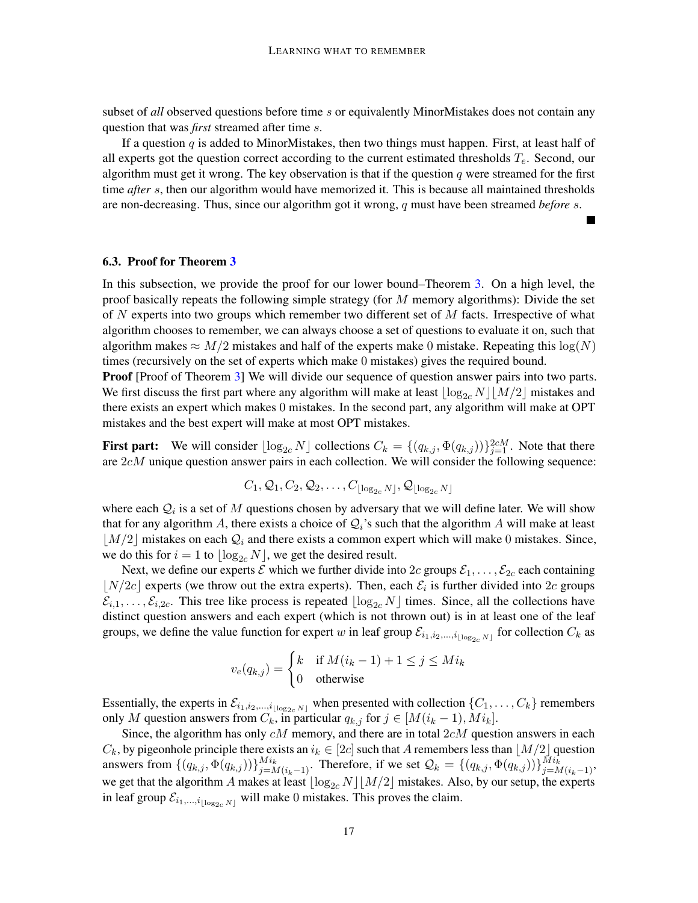subset of *all* observed questions before time s or equivalently MinorMistakes does not contain any question that was *first* streamed after time s.

If a question  $q$  is added to MinorMistakes, then two things must happen. First, at least half of all experts got the question correct according to the current estimated thresholds  $T_e$ . Second, our algorithm must get it wrong. The key observation is that if the question  $q$  were streamed for the first time *after* s, then our algorithm would have memorized it. This is because all maintained thresholds are non-decreasing. Thus, since our algorithm got it wrong, q must have been streamed *before* s.

### <span id="page-16-0"></span>6.3. Proof for Theorem [3](#page-9-0)

In this subsection, we provide the proof for our lower bound–Theorem [3.](#page-9-0) On a high level, the proof basically repeats the following simple strategy (for  $M$  memory algorithms): Divide the set of N experts into two groups which remember two different set of  $M$  facts. Irrespective of what algorithm chooses to remember, we can always choose a set of questions to evaluate it on, such that algorithm makes  $\approx M/2$  mistakes and half of the experts make 0 mistake. Repeating this  $log(N)$ times (recursively on the set of experts which make 0 mistakes) gives the required bound.

**Proof** [Proof of Theorem [3\]](#page-9-0) We will divide our sequence of question answer pairs into two parts. We first discuss the first part where any algorithm will make at least  $\lfloor \log_{2c} N \rfloor |M/2|$  mistakes and there exists an expert which makes 0 mistakes. In the second part, any algorithm will make at OPT mistakes and the best expert will make at most OPT mistakes.

First part: We will consider  $\lfloor \log_{2c} N \rfloor$  collections  $C_k = \{(q_{k,j}, \Phi(q_{k,j}))\}_{j=1}^{2cM}$ . Note that there are  $2cM$  unique question answer pairs in each collection. We will consider the following sequence:

$$
C_1, \mathcal{Q}_1, C_2, \mathcal{Q}_2, \ldots, C_{\lfloor \log_{2c} N \rfloor}, \mathcal{Q}_{\lfloor \log_{2c} N \rfloor}
$$

where each  $Q_i$  is a set of M questions chosen by adversary that we will define later. We will show that for any algorithm A, there exists a choice of  $Q_i$ 's such that the algorithm A will make at least  $|M/2|$  mistakes on each  $Q_i$  and there exists a common expert which will make 0 mistakes. Since, we do this for  $i = 1$  to  $\log_{2c} N$ , we get the desired result.

Next, we define our experts  $\mathcal E$  which we further divide into  $2c$  groups  $\mathcal E_1, \ldots, \mathcal E_{2c}$  each containing  $\lfloor N/2c \rfloor$  experts (we throw out the extra experts). Then, each  $\mathcal{E}_i$  is further divided into 2c groups  $\mathcal{E}_{i,1}, \ldots, \mathcal{E}_{i,2c}$ . This tree like process is repeated  $\lfloor \log_{2c} N \rfloor$  times. Since, all the collections have distinct question answers and each expert (which is not thrown out) is in at least one of the leaf groups, we define the value function for expert w in leaf group  $\mathcal{E}_{i_1,i_2,...,i_{\lfloor \log_{2c} N\rfloor}}$  for collection  $C_k$  as

$$
v_e(q_{k,j}) = \begin{cases} k & \text{if } M(i_k - 1) + 1 \le j \le Mi_k \\ 0 & \text{otherwise} \end{cases}
$$

Essentially, the experts in  $\mathcal{E}_{i_1,i_2,\dots,i_{\lfloor \log_{2c} N\rfloor}}$  when presented with collection  $\{C_1,\dots,C_k\}$  remembers only M question answers from  $C_k$ , in particular  $q_{k,j}$  for  $j \in [M(i_k-1), Mi_k]$ .

Since, the algorithm has only  $cM$  memory, and there are in total  $2cM$  question answers in each  $C_k$ , by pigeonhole principle there exists an  $i_k \in [2c]$  such that A remembers less than  $[M/2]$  question answers from  $\{(q_{k,j}, \Phi(q_{k,j}))\}_{j=M(i_k-1)}^{Mi_k}$ . Therefore, if we set  $\mathcal{Q}_k = \{(q_{k,j}, \Phi(q_{k,j}))\}_{j=M(i_k-1)}^{Mi_k}$ , we get that the algorithm A makes at least  $\lfloor \log_{2c} N \rfloor \lfloor M/2 \rfloor$  mistakes. Also, by our setup, the experts in leaf group  $\mathcal{E}_{i_1,\dots,i_{|\log_2c|}N|}$  will make 0 mistakes. This proves the claim.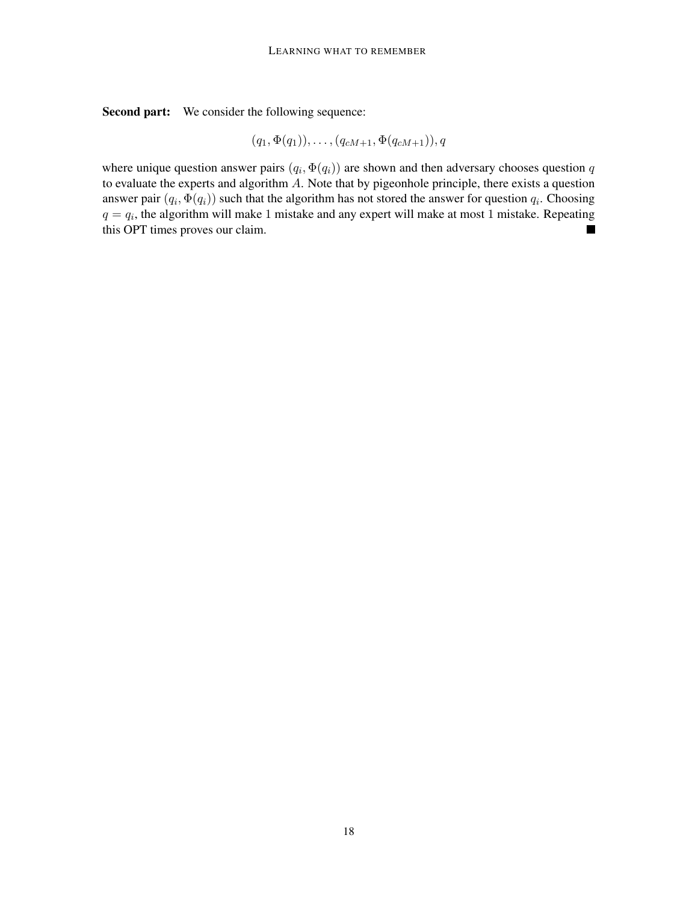Second part: We consider the following sequence:

$$
(q_1, \Phi(q_1)), \ldots, (q_{cM+1}, \Phi(q_{cM+1})), q
$$

where unique question answer pairs  $(q_i, \Phi(q_i))$  are shown and then adversary chooses question q to evaluate the experts and algorithm A. Note that by pigeonhole principle, there exists a question answer pair  $(q_i, \Phi(q_i))$  such that the algorithm has not stored the answer for question  $q_i$ . Choosing  $q = q_i$ , the algorithm will make 1 mistake and any expert will make at most 1 mistake. Repeating this OPT times proves our claim.  $\blacksquare$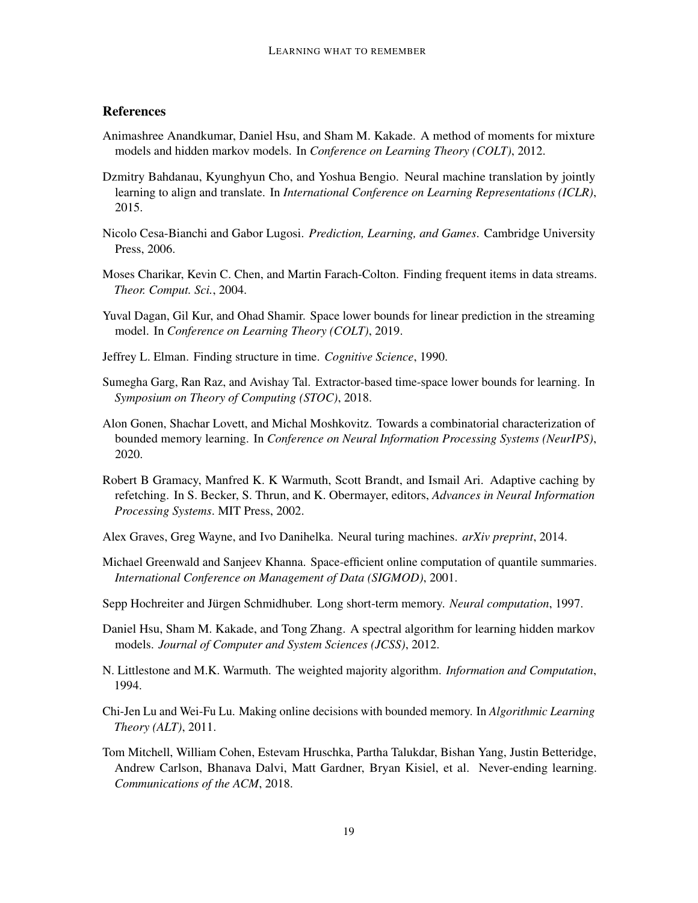# **References**

- <span id="page-18-9"></span>Animashree Anandkumar, Daniel Hsu, and Sham M. Kakade. A method of moments for mixture models and hidden markov models. In *Conference on Learning Theory (COLT)*, 2012.
- <span id="page-18-15"></span>Dzmitry Bahdanau, Kyunghyun Cho, and Yoshua Bengio. Neural machine translation by jointly learning to align and translate. In *International Conference on Learning Representations (ICLR)*, 2015.
- <span id="page-18-1"></span>Nicolo Cesa-Bianchi and Gabor Lugosi. *Prediction, Learning, and Games*. Cambridge University Press, 2006.
- <span id="page-18-11"></span>Moses Charikar, Kevin C. Chen, and Martin Farach-Colton. Finding frequent items in data streams. *Theor. Comput. Sci.*, 2004.
- <span id="page-18-7"></span>Yuval Dagan, Gil Kur, and Ohad Shamir. Space lower bounds for linear prediction in the streaming model. In *Conference on Learning Theory (COLT)*, 2019.
- <span id="page-18-12"></span>Jeffrey L. Elman. Finding structure in time. *Cognitive Science*, 1990.
- <span id="page-18-6"></span>Sumegha Garg, Ran Raz, and Avishay Tal. Extractor-based time-space lower bounds for learning. In *Symposium on Theory of Computing (STOC)*, 2018.
- <span id="page-18-5"></span>Alon Gonen, Shachar Lovett, and Michal Moshkovitz. Towards a combinatorial characterization of bounded memory learning. In *Conference on Neural Information Processing Systems (NeurIPS)*, 2020.
- <span id="page-18-4"></span>Robert B Gramacy, Manfred K. K Warmuth, Scott Brandt, and Ismail Ari. Adaptive caching by refetching. In S. Becker, S. Thrun, and K. Obermayer, editors, *Advances in Neural Information Processing Systems*. MIT Press, 2002.
- <span id="page-18-14"></span>Alex Graves, Greg Wayne, and Ivo Danihelka. Neural turing machines. *arXiv preprint*, 2014.
- <span id="page-18-10"></span>Michael Greenwald and Sanjeev Khanna. Space-efficient online computation of quantile summaries. *International Conference on Management of Data (SIGMOD)*, 2001.
- <span id="page-18-13"></span>Sepp Hochreiter and Jürgen Schmidhuber. Long short-term memory. *Neural computation*, 1997.
- <span id="page-18-8"></span>Daniel Hsu, Sham M. Kakade, and Tong Zhang. A spectral algorithm for learning hidden markov models. *Journal of Computer and System Sciences (JCSS)*, 2012.
- <span id="page-18-2"></span>N. Littlestone and M.K. Warmuth. The weighted majority algorithm. *Information and Computation*, 1994.
- <span id="page-18-3"></span>Chi-Jen Lu and Wei-Fu Lu. Making online decisions with bounded memory. In *Algorithmic Learning Theory (ALT)*, 2011.
- <span id="page-18-0"></span>Tom Mitchell, William Cohen, Estevam Hruschka, Partha Talukdar, Bishan Yang, Justin Betteridge, Andrew Carlson, Bhanava Dalvi, Matt Gardner, Bryan Kisiel, et al. Never-ending learning. *Communications of the ACM*, 2018.